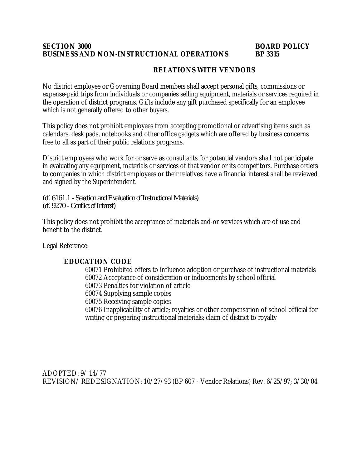### **SECTION 3000 BOARD POLICY BUSINESS AND NON-INSTRUCTIONAL OPERATIONS BP 3315**

# **RELATIONS WITH VENDORS**

No district employee or Governing Board members shall accept personal gifts, commissions or expense-paid trips from individuals or companies selling equipment, materials or services required in the operation of district programs. Gifts include any gift purchased specifically for an employee which is not generally offered to other buyers.

This policy does not prohibit employees from accepting promotional or advertising items such as calendars, desk pads, notebooks and other office gadgets which are offered by business concerns free to all as part of their public relations programs.

District employees who work for or serve as consultants for potential vendors shall not participate in evaluating any equipment, materials or services of that vendor or its competitors. Purchase orders to companies in which district employees or their relatives have a financial interest shall be reviewed and signed by the Superintendent.

*(cf. 6161.1 - Selection and Evaluation of Instructional Materials) (cf. 9270 - Conflict of Interest)*

This policy does not prohibit the acceptance of materials and-or services which are of use and benefit to the district.

Legal Reference:

## **EDUCATION CODE**

60071 Prohibited offers to influence adoption or purchase of instructional materials 60072 Acceptance of consideration or inducements by school official 60073 Penalties for violation of article 60074 Supplying sample copies 60075 Receiving sample copies 60076 Inapplicability of article; royalties or other compensation of school official for writing or preparing instructional materials; claim of district to royalty

ADOPTED: 9/ 14/77 REVISION/ REDESIGNATION: 10/27/93 (BP 607 - Vendor Relations) Rev. 6/25/97; 3/30/04